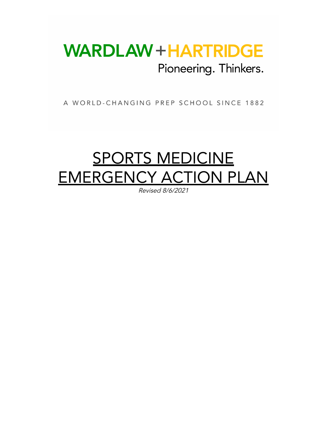## **WARDLAW + HARTRIDGE** Pioneering. Thinkers.

A WORLD-CHANGING PREP SCHOOL SINCE 1882

# **SPORTS MEDICINE** EMERGENCY ACTION PLAN

Revised 8/6/2021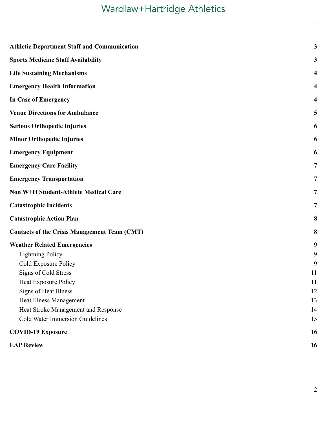## Wardlaw+Hartridge Athletics

| <b>Athletic Department Staff and Communication</b>  | $\mathbf{3}$            |
|-----------------------------------------------------|-------------------------|
| <b>Sports Medicine Staff Availability</b>           | 3                       |
| <b>Life Sustaining Mechanisms</b>                   | $\overline{\mathbf{4}}$ |
| <b>Emergency Health Information</b>                 | 4                       |
| <b>In Case of Emergency</b>                         | $\overline{\mathbf{4}}$ |
| <b>Venue Directions for Ambulance</b>               | 5                       |
| <b>Serious Orthopedic Injuries</b>                  | 6                       |
| <b>Minor Orthopedic Injuries</b>                    | 6                       |
| <b>Emergency Equipment</b>                          | 6                       |
| <b>Emergency Care Facility</b>                      | $\overline{7}$          |
| <b>Emergency Transportation</b>                     | 7                       |
| Non W+H Student-Athlete Medical Care                | $\overline{7}$          |
| <b>Catastrophic Incidents</b>                       | $\overline{7}$          |
| <b>Catastrophic Action Plan</b>                     | 8                       |
| <b>Contacts of the Crisis Management Team (CMT)</b> | 8                       |
| <b>Weather Related Emergencies</b>                  | 9                       |
| <b>Lightning Policy</b>                             | 9                       |
| Cold Exposure Policy                                | 9                       |
| Signs of Cold Stress                                | 11                      |
| Heat Exposure Policy                                | 11                      |
| Signs of Heat Illness                               | 12                      |
| Heat Illness Management                             | 13                      |
| Heat Stroke Management and Response                 | 14                      |
| <b>Cold Water Immersion Guidelines</b>              | 15                      |
| <b>COVID-19 Exposure</b>                            | 16                      |
| <b>EAP Review</b>                                   | 16                      |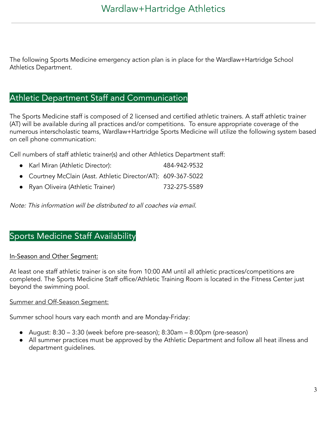The following Sports Medicine emergency action plan is in place for the Wardlaw+Hartridge School Athletics Department.

## <span id="page-2-0"></span>Athletic Department Staff and Communication

The Sports Medicine staff is composed of 2 licensed and certified athletic trainers. A staff athletic trainer (AT) will be available during all practices and/or competitions. To ensure appropriate coverage of the numerous interscholastic teams, Wardlaw+Hartridge Sports Medicine will utilize the following system based on cell phone communication:

Cell numbers of staff athletic trainer(s) and other Athletics Department staff:

● Karl Miran (Athletic Director): 484-942-9532 Courtney McClain (Asst. Athletic Director/AT): 609-367-5022 ● Ryan Oliveira (Athletic Trainer) 732-275-5589

Note: This information will be distributed to all coaches via email.

## <span id="page-2-1"></span>Sports Medicine Staff Availability

#### In-Season and Other Segment:

At least one staff athletic trainer is on site from 10:00 AM until all athletic practices/competitions are completed. The Sports Medicine Staff office/Athletic Training Room is located in the Fitness Center just beyond the swimming pool.

#### Summer and Off-Season Segment:

Summer school hours vary each month and are Monday-Friday:

- August: 8:30 3:30 (week before pre-season); 8:30am 8:00pm (pre-season)
- All summer practices must be approved by the Athletic Department and follow all heat illness and department guidelines.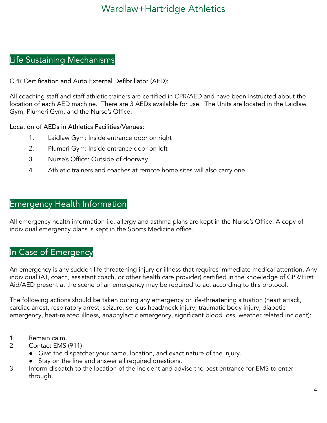## <span id="page-3-0"></span>Life Sustaining Mechanisms

CPR Certification and Auto External Defibrillator (AED):

All coaching staff and staff athletic trainers are certified in CPR/AED and have been instructed about the location of each AED machine. There are 3 AEDs available for use. The Units are located in the Laidlaw Gym, Plumeri Gym, and the Nurse's Office.

Location of AEDs in Athletics Facilities/Venues:

- 1. Laidlaw Gym: Inside entrance door on right
- 2. Plumeri Gym: Inside entrance door on left
- 3. Nurse's Office: Outside of doorway
- 4. Athletic trainers and coaches at remote home sites will also carry one

## <span id="page-3-1"></span>Emergency Health Information

All emergency health information i.e. allergy and asthma plans are kept in the Nurse's Office. A copy of individual emergency plans is kept in the Sports Medicine office.

## <span id="page-3-2"></span>In Case of Emergency

An emergency is any sudden life threatening injury or illness that requires immediate medical attention. Any individual (AT, coach, assistant coach, or other health care provider) certified in the knowledge of CPR/First Aid/AED present at the scene of an emergency may be required to act according to this protocol.

The following actions should be taken during any emergency or life-threatening situation (heart attack, cardiac arrest, respiratory arrest, seizure, serious head/neck injury, traumatic body injury, diabetic emergency, heat-related illness, anaphylactic emergency, significant blood loss, weather related incident):

- 1. Remain calm.
- 2. Contact EMS (911)
	- Give the dispatcher your name, location, and exact nature of the injury.
	- Stay on the line and answer all required questions.
- 3. Inform dispatch to the location of the incident and advise the best entrance for EMS to enter through.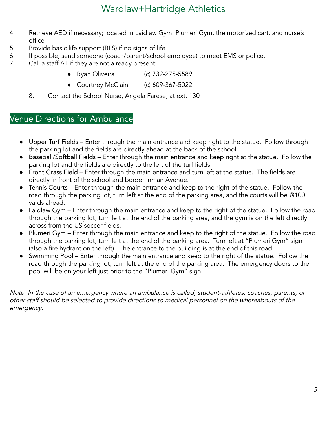- 4. Retrieve AED if necessary; located in Laidlaw Gym, Plumeri Gym, the motorized cart, and nurse's office
- 5. Provide basic life support (BLS) if no signs of life
- 6. If possible, send someone (coach/parent/school employee) to meet EMS or police.
- 7. Call a staff AT if they are not already present:
	- Ryan Oliveira (c) 732-275-5589
	- Courtney McClain (c) 609-367-5022
	- 8. Contact the School Nurse, Angela Farese, at ext. 130

## <span id="page-4-0"></span>Venue Directions for Ambulance

- Upper Turf Fields Enter through the main entrance and keep right to the statue. Follow through the parking lot and the fields are directly ahead at the back of the school.
- Baseball/Softball Fields Enter through the main entrance and keep right at the statue. Follow the parking lot and the fields are directly to the left of the turf fields.
- Front Grass Field Enter through the main entrance and turn left at the statue. The fields are directly in front of the school and border Inman Avenue.
- Tennis Courts Enter through the main entrance and keep to the right of the statue. Follow the road through the parking lot, turn left at the end of the parking area, and the courts will be @100 yards ahead.
- Laidlaw Gym Enter through the main entrance and keep to the right of the statue. Follow the road through the parking lot, turn left at the end of the parking area, and the gym is on the left directly across from the US soccer fields.
- Plumeri Gym Enter through the main entrance and keep to the right of the statue. Follow the road through the parking lot, turn left at the end of the parking area. Turn left at "Plumeri Gym" sign (also a fire hydrant on the left). The entrance to the building is at the end of this road.
- Swimming Pool Enter through the main entrance and keep to the right of the statue. Follow the road through the parking lot, turn left at the end of the parking area. The emergency doors to the pool will be on your left just prior to the "Plumeri Gym" sign.

Note: In the case of an emergency where an ambulance is called, student-athletes, coaches, parents, or other staff should be selected to provide directions to medical personnel on the whereabouts of the emergency.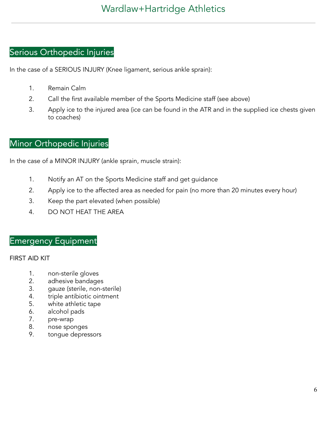## <span id="page-5-0"></span>Serious Orthopedic Injuries

In the case of a SERIOUS INJURY (Knee ligament, serious ankle sprain):

- 1. Remain Calm
- 2. Call the first available member of the Sports Medicine staff (see above)
- 3. Apply ice to the injured area (ice can be found in the ATR and in the supplied ice chests given to coaches)

## <span id="page-5-1"></span>Minor Orthopedic Injuries

In the case of a MINOR INJURY (ankle sprain, muscle strain):

- 1. Notify an AT on the Sports Medicine staff and get guidance
- 2. Apply ice to the affected area as needed for pain (no more than 20 minutes every hour)
- 3. Keep the part elevated (when possible)
- 4. DO NOT HEAT THE AREA

## <span id="page-5-2"></span>Emergency Equipment

#### FIRST AID KIT

- 1. non-sterile gloves
- 2. adhesive bandages
- 3. gauze (sterile, non-sterile)
- 4. triple antibiotic ointment
- 5. white athletic tape
- 6. alcohol pads
- 7. pre-wrap
- 8. nose sponges
- 9. tongue depressors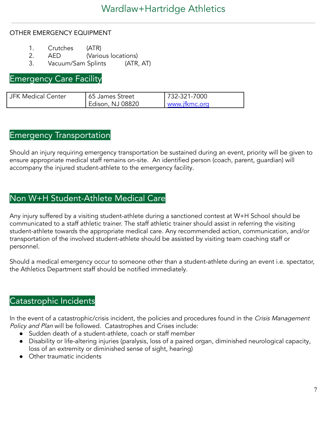#### OTHER EMERGENCY EQUIPMENT

- 1. Crutches (ATR)
- 2. AED (Various locations)
- 3. Vacuum/Sam Splints (ATR, AT)

<span id="page-6-0"></span>Emergency Care Facility

| JFK Medical Center | 55 James Street  | 732-321-7000  |
|--------------------|------------------|---------------|
|                    | Edison, NJ 08820 | www.jfkmc.org |

#### <span id="page-6-1"></span>Emergency Transportation

Should an injury requiring emergency transportation be sustained during an event, priority will be given to ensure appropriate medical staff remains on-site. An identified person (coach, parent, guardian) will accompany the injured student-athlete to the emergency facility.

## <span id="page-6-2"></span>Non W+H Student-Athlete Medical Care

Any injury suffered by a visiting student-athlete during a sanctioned contest at W+H School should be communicated to a staff athletic trainer. The staff athletic trainer should assist in referring the visiting student-athlete towards the appropriate medical care. Any recommended action, communication, and/or transportation of the involved student-athlete should be assisted by visiting team coaching staff or personnel.

Should a medical emergency occur to someone other than a student-athlete during an event i.e. spectator, the Athletics Department staff should be notified immediately.

## <span id="page-6-3"></span>Catastrophic Incidents

In the event of a catastrophic/crisis incident, the policies and procedures found in the Crisis Management Policy and Plan will be followed. Catastrophes and Crises include:

- Sudden death of a student-athlete, coach or staff member
- Disability or life-altering injuries (paralysis, loss of a paired organ, diminished neurological capacity, loss of an extremity or diminished sense of sight, hearing)
- Other traumatic incidents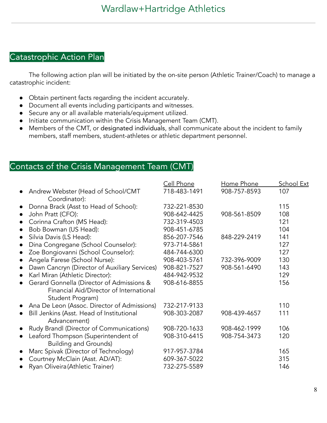## <span id="page-7-0"></span>Catastrophic Action Plan

The following action plan will be initiated by the on-site person (Athletic Trainer/Coach) to manage a catastrophic incident:

- Obtain pertinent facts regarding the incident accurately.
- Document all events including participants and witnesses.
- Secure any or all available materials/equipment utilized.
- Initiate communication within the Crisis Management Team (CMT).
- Members of the CMT, or designated individuals, shall communicate about the incident to family members, staff members, student-athletes or athletic department personnel.

## <span id="page-7-1"></span>Contacts of the Crisis Management Team (CMT)

|                                                            | Cell Phone   | Home Phone   | <b>School Ext</b> |
|------------------------------------------------------------|--------------|--------------|-------------------|
| Andrew Webster (Head of School/CMT                         | 718-483-1491 | 908-757-8593 | 107               |
| Coordinator):                                              |              |              |                   |
| Donna Brack (Asst to Head of School):<br>$\bullet$         | 732-221-8530 |              | 115               |
| John Pratt (CFO):<br>$\bullet$                             | 908-642-4425 | 908-561-8509 | 108               |
| Corinna Crafton (MS Head):<br>$\bullet$                    | 732-319-4503 |              | 121               |
| Bob Bowman (US Head):<br>$\bullet$                         | 908-451-6785 |              | 104               |
| Silvia Davis (LS Head):<br>$\bullet$                       | 856-207-7546 | 848-229-2419 | 141               |
| Dina Congregane (School Counselor):<br>$\bullet$           | 973-714-5861 |              | 127               |
| Zoe Bongiovanni (School Counselor):<br>$\bullet$           | 484-744-6300 |              | 127               |
| Angela Farese (School Nurse):                              | 908-403-5761 | 732-396-9009 | 130               |
| Dawn Cancryn (Director of Auxiliary Services)<br>$\bullet$ | 908-821-7527 | 908-561-6490 | 143               |
| Karl Miran (Athletic Director):<br>$\bullet$               | 484-942-9532 |              | 129               |
| Gerard Gonnella (Director of Admissions &                  | 908-616-8855 |              | 156               |
| Financial Aid/Director of International                    |              |              |                   |
| Student Program)                                           |              |              |                   |
| Ana De Leon (Assoc. Director of Admissions)<br>$\bullet$   | 732-217-9133 |              | 110               |
| Bill Jenkins (Asst. Head of Institutional                  | 908-303-2087 | 908-439-4657 | 111               |
| Advancement)                                               |              |              |                   |
| Rudy Brandl (Director of Communications)<br>$\bullet$      | 908-720-1633 | 908-462-1999 | 106               |
| Leaford Thompson (Superintendent of<br>$\bullet$           | 908-310-6415 | 908-754-3473 | 120               |
| <b>Building and Grounds)</b>                               |              |              |                   |
| Marc Spivak (Director of Technology)<br>$\bullet$          | 917-957-3784 |              | 165               |
| Courtney McClain (Asst. AD/AT):<br>$\bullet$               | 609-367-5022 |              | 315               |
| Ryan Oliveira (Athletic Trainer)                           | 732-275-5589 |              | 146               |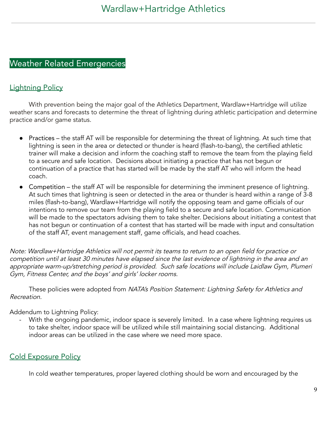## <span id="page-8-0"></span>Weather Related Emergencies

## <span id="page-8-1"></span>**Lightning Policy**

With prevention being the major goal of the Athletics Department, Wardlaw+Hartridge will utilize weather scans and forecasts to determine the threat of lightning during athletic participation and determine practice and/or game status.

- Practices the staff AT will be responsible for determining the threat of lightning. At such time that lightning is seen in the area or detected or thunder is heard (flash-to-bang), the certified athletic trainer will make a decision and inform the coaching staff to remove the team from the playing field to a secure and safe location. Decisions about initiating a practice that has not begun or continuation of a practice that has started will be made by the staff AT who will inform the head coach.
- Competition the staff AT will be responsible for determining the imminent presence of lightning. At such times that lightning is seen or detected in the area or thunder is heard within a range of 3-8 miles (flash-to-bang), Wardlaw+Hartridge will notify the opposing team and game officials of our intentions to remove our team from the playing field to a secure and safe location. Communication will be made to the spectators advising them to take shelter. Decisions about initiating a contest that has not begun or continuation of a contest that has started will be made with input and consultation of the staff AT, event management staff, game officials, and head coaches.

Note: Wardlaw+Hartridge Athletics will not permit its teams to return to an open field for practice or competition until at least <sup>30</sup> minutes have elapsed since the last evidence of lightning in the area and an appropriate warm-up/stretching period is provided. Such safe locations will include Laidlaw Gym, Plumeri Gym, Fitness Center, and the boys' and girls' locker rooms.

These policies were adopted from NATA's Position Statement: Lightning Safety for Athletics and Recreation.

#### Addendum to Lightning Policy:

With the ongoing pandemic, indoor space is severely limited. In a case where lightning requires us to take shelter, indoor space will be utilized while still maintaining social distancing. Additional indoor areas can be utilized in the case where we need more space.

## <span id="page-8-2"></span>Cold Exposure Policy

In cold weather temperatures, proper layered clothing should be worn and encouraged by the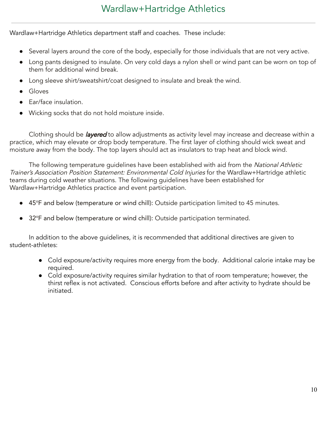Wardlaw+Hartridge Athletics department staff and coaches. These include:

- Several layers around the core of the body, especially for those individuals that are not very active.
- Long pants designed to insulate. On very cold days a nylon shell or wind pant can be worn on top of them for additional wind break.
- Long sleeve shirt/sweatshirt/coat designed to insulate and break the wind.
- **Gloves**
- Ear/face insulation.
- Wicking socks that do not hold moisture inside.

Clothing should be *layered* to allow adjustments as activity level may increase and decrease within a practice, which may elevate or drop body temperature. The first layer of clothing should wick sweat and moisture away from the body. The top layers should act as insulators to trap heat and block wind.

The following temperature quidelines have been established with aid from the National Athletic Trainer's Association Position Statement: Environmental Cold Injuries for the Wardlaw+Hartridge athletic teams during cold weather situations. The following guidelines have been established for Wardlaw+Hartridge Athletics practice and event participation.

- 45°F and below (temperature or wind chill): Outside participation limited to 45 minutes.
- 32°F and below (temperature or wind chill): Outside participation terminated.

In addition to the above guidelines, it is recommended that additional directives are given to student-athletes:

- Cold exposure/activity requires more energy from the body. Additional calorie intake may be required.
- Cold exposure/activity requires similar hydration to that of room temperature; however, the thirst reflex is not activated. Conscious efforts before and after activity to hydrate should be initiated.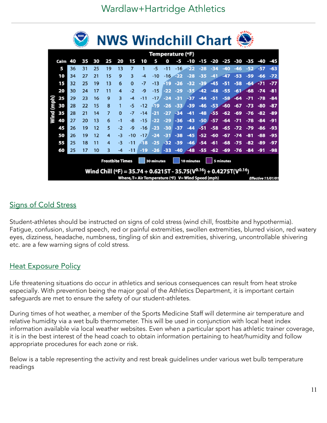## Wardlaw+Hartridge Athletics

a wasa

|            |                                                                                                                                                                    |    | nosa |    | <b>NWS Windchill Chart State</b> |          |                |       |                  |        |       |       |       |        |        |       |        |       |       |
|------------|--------------------------------------------------------------------------------------------------------------------------------------------------------------------|----|------|----|----------------------------------|----------|----------------|-------|------------------|--------|-------|-------|-------|--------|--------|-------|--------|-------|-------|
|            |                                                                                                                                                                    |    |      |    |                                  |          |                |       | Temperature (°F) |        |       |       |       |        |        |       |        |       |       |
|            | Calm                                                                                                                                                               | 40 | 35   | 30 | 25                               | 20       | 15             | 10    | 5                | Ω      |       | -10   | -15   | -20    | -25    | -30   | -35    | -40   | -45   |
|            | 5                                                                                                                                                                  | 36 | 31   | 25 | 19                               | 13       | $\overline{7}$ |       | -5               | -11    | -16   | ووي   | $-28$ | $-34$  | $-40$  | $-46$ | $-52.$ | - 57  | $-63$ |
|            | 10                                                                                                                                                                 | 34 | 27   | 21 | 15                               | 9        | 3              | -4    | -10              | $-16$  | $-22$ | $-28$ | -35   | $-41$  | $-47$  | $-53$ | -59    | -66   | $-72$ |
|            | 15                                                                                                                                                                 | 32 | 25   | 19 | 13                               | 6        | 0              | -7    | -13              | -19    | $-26$ | -32   | -39   | $-45$  | -51    | -58   | -64    | $-71$ | $-77$ |
|            | 20                                                                                                                                                                 | 30 | 24   | 17 | 11                               | 4        | $-2$           | -9    | -15              | $-22$  | $-29$ | $-35$ | $-42$ | $-48$  | -55    | $-61$ | $-68$  | $-74$ | -81   |
|            | 25                                                                                                                                                                 | 29 | 23   | 16 | 9                                | 3        | $-4$           | $-11$ | $-17$            | $-24$  | $-31$ | -37   | -44   | -51    | $-58$  | $-64$ |        | -78   | $-84$ |
| Wind (mph) | 30                                                                                                                                                                 | 28 | 22   | 15 | 8                                | 1        | -5             | $-12$ | 49               | $-26$  | $-33$ | -39   | $-46$ | $-53.$ | $-60$  | $-67$ | $-73$  | -80   | -87   |
|            | 35                                                                                                                                                                 | 28 | 21   | 14 | 7                                | $\Omega$ | -7             | $-14$ | -21              | -27    | -34   | -41   | $-48$ | -55    | $-62$  | -69   | $-76$  | -82   | -89   |
|            | 40                                                                                                                                                                 | 27 | 20   | 13 | 6                                | -1       | -8             | $-15$ | -22              | $-29$  | -36   | $-43$ | $-50$ | $-57$  | -64    | -71   | -78    | -84   | -91   |
|            | 45                                                                                                                                                                 | 26 | 19   | 12 | 5                                | $-2$     | -9             | -16   | -23              | $-30$  | -37   | -44   | -51   | $-58$  | -65    | -72   | -79    | -86   | -93   |
|            | 50                                                                                                                                                                 | 26 | 19   | 12 | 4                                | -3       | $-10$          | $-17$ | $-24$            | $-31$  | $-38$ | $-45$ | $-52$ | $-60$  | $-67$  | $-74$ | -81    | $-88$ | -95   |
|            | 55                                                                                                                                                                 | 25 | 18   | 11 | 4                                | -3       | $-11$          | -18   | $-25$            | $-32$  | $-39$ | $-46$ | $-54$ | $-61$  | -68    | -75   | $-82$  | -89   | $-97$ |
|            | 60                                                                                                                                                                 | 25 | 17   | 10 | 3.                               |          | $-11$          | $-19$ | $-26$            | $-33.$ | $-40$ | $-48$ | $-55$ | $-62$  | $-69.$ | $-76$ | $-84$  | -91   | $-98$ |
|            | <b>Frostbite Times</b><br>30 minutes<br>10 minutes<br>5 minutes                                                                                                    |    |      |    |                                  |          |                |       |                  |        |       |       |       |        |        |       |        |       |       |
|            |                                                                                                                                                                    |    |      |    |                                  |          |                |       |                  |        |       |       |       |        |        |       |        |       |       |
|            | Wind Chill (°F) = 35.74 + 0.6215T - 35.75( $V^{0.16}$ ) + 0.4275T( $V^{0.16}$ )<br>Where, T= Air Temperature (°F) V= Wind Speed (mph)<br><b>Effective 11/01/01</b> |    |      |    |                                  |          |                |       |                  |        |       |       |       |        |        |       |        |       |       |

## <span id="page-10-0"></span>**<u>Signs of Cold Stress</u>**

Student-athletes should be instructed on signs of cold stress (wind chill, frostbite and hypothermia). Fatigue, confusion, slurred speech, red or painful extremities, swollen extremities, blurred vision, red watery eyes, dizziness, headache, numbness, tingling of skin and extremities, shivering, uncontrollable shivering etc. are a few warning signs of cold stress.

#### <span id="page-10-1"></span><u>Heat Exposure Policy</u>

Life threatening situations do occur in athletics and serious consequences can result from heat stroke especially. With prevention being the major goal of the Athletics Department, it is important certain safeguards are met to ensure the safety of our student-athletes.

During times of hot weather, a member of the Sports Medicine Staff will determine air temperature and relative humidity via a wet bulb thermometer. This will be used in conjunction with local heat index information available via local weather websites. Even when a particular sport has athletic trainer coverage, it is in the best interest of the head coach to obtain information pertaining to heat/humidity and follow appropriate procedures for each zone or risk.

Below is a table representing the activity and rest break guidelines under various wet bulb temperature readings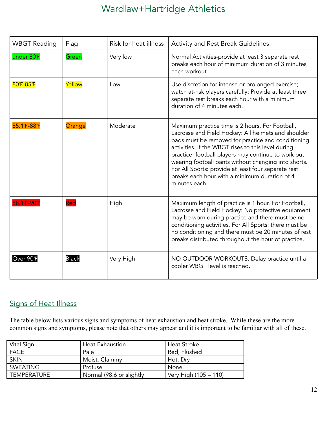| <b>WBGT Reading</b> | Flag         | Risk for heat illness | <b>Activity and Rest Break Guidelines</b>                                                                                                                                                                                                                                                                                                                                                                                                                  |
|---------------------|--------------|-----------------------|------------------------------------------------------------------------------------------------------------------------------------------------------------------------------------------------------------------------------------------------------------------------------------------------------------------------------------------------------------------------------------------------------------------------------------------------------------|
| under 80°F          | Green        | Very low              | Normal Activities-provide at least 3 separate rest<br>breaks each hour of minimum duration of 3 minutes<br>each workout                                                                                                                                                                                                                                                                                                                                    |
| 80°F-85°F           | Yellow       | Low                   | Use discretion for intense or prolonged exercise;<br>watch at-risk players carefully; Provide at least three<br>separate rest breaks each hour with a minimum<br>duration of 4 minutes each.                                                                                                                                                                                                                                                               |
| 85.1 F-88 F         | Orange       | Moderate              | Maximum practice time is 2 hours, For Football,<br>Lacrosse and Field Hockey: All helmets and shoulder<br>pads must be removed for practice and conditioning<br>activities. If the WBGT rises to this level during<br>practice, football players may continue to work out<br>wearing football pants without changing into shorts.<br>For All Sports: provide at least four separate rest<br>breaks each hour with a minimum duration of 4<br>minutes each. |
| 88.1℉-90¶           | Red          | High                  | Maximum length of practice is 1 hour. For Football,<br>Lacrosse and Field Hockey: No protective equipment<br>may be worn during practice and there must be no<br>conditioning activities. For All Sports: there must be<br>no conditioning and there must be 20 minutes of rest<br>breaks distributed throughout the hour of practice.                                                                                                                     |
| Over 90°F           | <b>Black</b> | Very High             | NO OUTDOOR WORKOUTS. Delay practice until a<br>cooler WBGT level is reached.                                                                                                                                                                                                                                                                                                                                                                               |

## <span id="page-11-0"></span>Signs of Heat Illness

The table below lists various signs and symptoms of heat exhaustion and heat stroke. While these are the more common signs and symptoms, please note that others may appear and it is important to be familiar with all of these.

| Vital Sign  | <b>Heat Exhaustion</b>   | <b>Heat Stroke</b>    |
|-------------|--------------------------|-----------------------|
| <b>FACE</b> | Pale                     | Red, Flushed          |
| <b>SKIN</b> | Moist, Clammy            | Hot, Dry              |
| SWEATING    | Profuse                  | None                  |
| TEMPERATURE | Normal (98.6 or slightly | Very High (105 – 110) |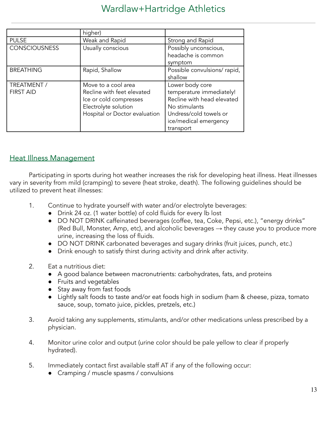## Wardlaw+Hartridge Athletics

|                      | higher)                       |                                             |
|----------------------|-------------------------------|---------------------------------------------|
| <b>PULSE</b>         | Weak and Rapid                | Strong and Rapid                            |
| <b>CONSCIOUSNESS</b> | Usually conscious             | Possibly unconscious,<br>headache is common |
|                      |                               | symptom                                     |
| <b>BREATHING</b>     | Rapid, Shallow                | Possible convulsions/rapid,                 |
|                      |                               | shallow                                     |
| TREATMENT /          | Move to a cool area           | Lower body core                             |
| <b>FIRST AID</b>     | Recline with feet elevated    | temperature immediately!                    |
|                      | Ice or cold compresses        | Recline with head elevated                  |
|                      | Electrolyte solution          | No stimulants                               |
|                      | Hospital or Doctor evaluation | Undress/cold towels or                      |
|                      |                               | ice/medical emergency                       |
|                      |                               | transport                                   |

#### <span id="page-12-0"></span>**Heat Illness Management**

Participating in sports during hot weather increases the risk for developing heat illness. Heat illnesses vary in severity from mild (cramping) to severe (heat stroke, death). The following guidelines should be utilized to prevent heat illnesses:

- 1. Continue to hydrate yourself with water and/or electrolyte beverages:
	- Drink 24 oz. (1 water bottle) of cold fluids for every lb lost
	- DO NOT DRINK caffeinated beverages (coffee, tea, Coke, Pepsi, etc.), "energy drinks" (Red Bull, Monster, Amp, etc), and alcoholic beverages  $\rightarrow$  they cause you to produce more urine, increasing the loss of fluids.
	- DO NOT DRINK carbonated beverages and sugary drinks (fruit juices, punch, etc.)
	- Drink enough to satisfy thirst during activity and drink after activity.
- 2. Eat a nutritious diet:
	- A good balance between macronutrients: carbohydrates, fats, and proteins
	- Fruits and vegetables
	- Stay away from fast foods
	- Lightly salt foods to taste and/or eat foods high in sodium (ham & cheese, pizza, tomato sauce, soup, tomato juice, pickles, pretzels, etc.)
- 3. Avoid taking any supplements, stimulants, and/or other medications unless prescribed by a physician.
- 4. Monitor urine color and output (urine color should be pale yellow to clear if properly hydrated).
- 5. Immediately contact first available staff AT if any of the following occur:
	- Cramping / muscle spasms / convulsions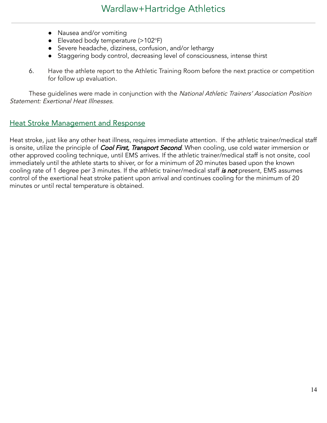- Nausea and/or vomiting
- Elevated body temperature (>102°F)
- Severe headache, dizziness, confusion, and/or lethargy
- Staggering body control, decreasing level of consciousness, intense thirst
- 6. Have the athlete report to the Athletic Training Room before the next practice or competition for follow up evaluation.

These guidelines were made in conjunction with the National Athletic Trainers' Association Position Statement: Exertional Heat Illnesses.

#### <span id="page-13-0"></span>**Heat Stroke Management and Response**

Heat stroke, just like any other heat illness, requires immediate attention. If the athletic trainer/medical staff is onsite, utilize the principle of *Cool First, Transport Second*. When cooling, use cold water immersion or other approved cooling technique, until EMS arrives. If the athletic trainer/medical staff is not onsite, cool immediately until the athlete starts to shiver, or for a minimum of 20 minutes based upon the known cooling rate of 1 degree per 3 minutes. If the athletic trainer/medical staff is not present, EMS assumes control of the exertional heat stroke patient upon arrival and continues cooling for the minimum of 20 minutes or until rectal temperature is obtained.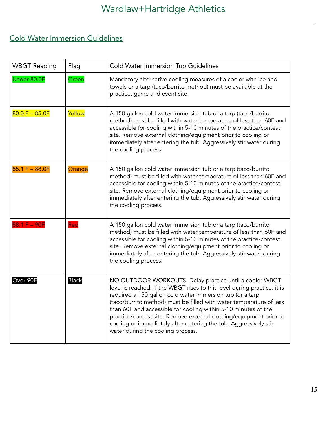## <span id="page-14-0"></span>Cold Water Immersion Guidelines

| <b>WBGT Reading</b> | Flag         | <b>Cold Water Immersion Tub Guidelines</b>                                                                                                                                                                                                                                                                                                                                                                                                                                                                               |
|---------------------|--------------|--------------------------------------------------------------------------------------------------------------------------------------------------------------------------------------------------------------------------------------------------------------------------------------------------------------------------------------------------------------------------------------------------------------------------------------------------------------------------------------------------------------------------|
| Under 80.0F         | Green        | Mandatory alternative cooling measures of a cooler with ice and<br>towels or a tarp (taco/burrito method) must be available at the<br>practice, game and event site.                                                                                                                                                                                                                                                                                                                                                     |
| $80.0 F - 85.0 F$   | Yellow       | A 150 gallon cold water immersion tub or a tarp (taco/burrito<br>method) must be filled with water temperature of less than 60F and<br>accessible for cooling within 5-10 minutes of the practice/contest<br>site. Remove external clothing/equipment prior to cooling or<br>immediately after entering the tub. Aggressively stir water during<br>the cooling process.                                                                                                                                                  |
| $85.1 F - 88.0 F$   | Orange       | A 150 gallon cold water immersion tub or a tarp (taco/burrito<br>method) must be filled with water temperature of less than 60F and<br>accessible for cooling within 5-10 minutes of the practice/contest<br>site. Remove external clothing/equipment prior to cooling or<br>immediately after entering the tub. Aggressively stir water during<br>the cooling process.                                                                                                                                                  |
| $88.1 F - 90F$      | Red          | A 150 gallon cold water immersion tub or a tarp (taco/burrito<br>method) must be filled with water temperature of less than 60F and<br>accessible for cooling within 5-10 minutes of the practice/contest<br>site. Remove external clothing/equipment prior to cooling or<br>immediately after entering the tub. Aggressively stir water during<br>the cooling process.                                                                                                                                                  |
| Over 90F            | <b>Black</b> | NO OUTDOOR WORKOUTS. Delay practice until a cooler WBGT<br>level is reached. If the WBGT rises to this level during practice, it is<br>required a 150 gallon cold water immersion tub (or a tarp<br>(taco/burrito method) must be filled with water temperature of less<br>than 60F and accessible for cooling within 5-10 minutes of the<br>practice/contest site. Remove external clothing/equipment prior to<br>cooling or immediately after entering the tub. Aggressively stir<br>water during the cooling process. |